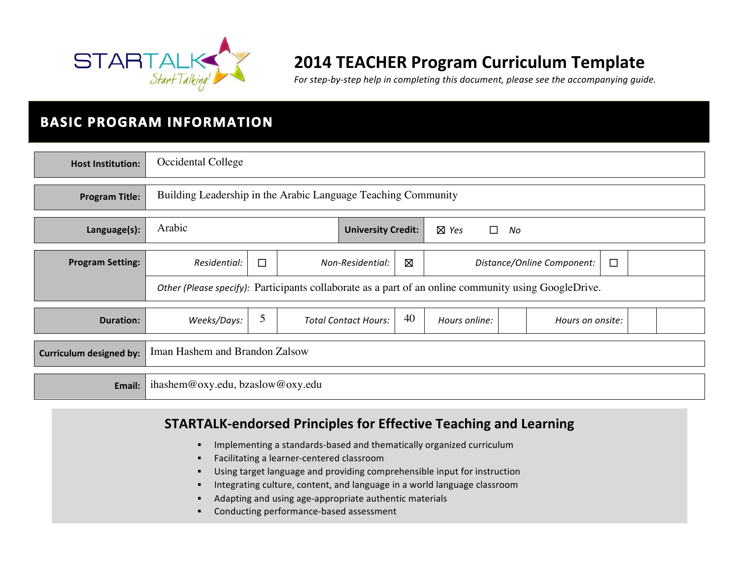

# **2014 TEACHER Program Curriculum Template**

For step-by-step help in completing this document, please see the accompanying quide.

# **BASIC PROGRAM INFORMATION**

| <b>Host Institution:</b>       | Occidental College                                                                                   |                                                               |  |                             |    |               |                            |        |  |
|--------------------------------|------------------------------------------------------------------------------------------------------|---------------------------------------------------------------|--|-----------------------------|----|---------------|----------------------------|--------|--|
| <b>Program Title:</b>          |                                                                                                      | Building Leadership in the Arabic Language Teaching Community |  |                             |    |               |                            |        |  |
| Language(s):                   | Arabic<br><b>University Credit:</b><br>$\boxtimes$ Yes<br>$\Box$<br>No                               |                                                               |  |                             |    |               |                            |        |  |
| <b>Program Setting:</b>        | Residential:                                                                                         | $\Box$                                                        |  | Non-Residential:            | ⊠  |               | Distance/Online Component: | $\Box$ |  |
|                                | Other (Please specify): Participants collaborate as a part of an online community using GoogleDrive. |                                                               |  |                             |    |               |                            |        |  |
| <b>Duration:</b>               | Weeks/Days:                                                                                          | 5                                                             |  | <b>Total Contact Hours:</b> | 40 | Hours online: | Hours on onsite:           |        |  |
| <b>Curriculum designed by:</b> | Iman Hashem and Brandon Zalsow                                                                       |                                                               |  |                             |    |               |                            |        |  |
| Email:                         | ihashem@oxy.edu, bzaslow@oxy.edu                                                                     |                                                               |  |                             |    |               |                            |        |  |

## **STARTALK-endorsed Principles for Effective Teaching and Learning**

- **•** Implementing a standards-based and thematically organized curriculum
- **•** Facilitating a learner-centered classroom
- **■** Using target language and providing comprehensible input for instruction
- Integrating culture, content, and language in a world language classroom
- Adapting and using age-appropriate authentic materials
- Conducting performance-based assessment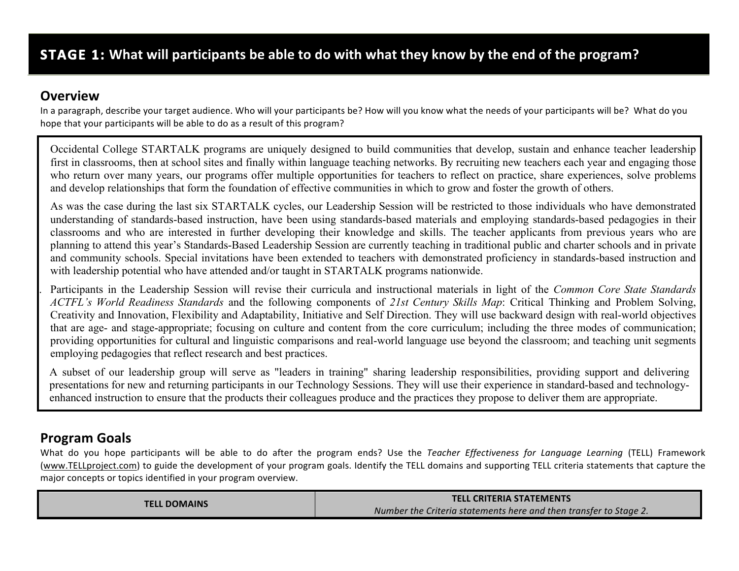## **Overview**

In a paragraph, describe your target audience. Who will your participants be? How will you know what the needs of your participants will be? What do you hope that your participants will be able to do as a result of this program?

Occidental College STARTALK programs are uniquely designed to build communities that develop, sustain and enhance teacher leadership first in classrooms, then at school sites and finally within language teaching networks. By recruiting new teachers each year and engaging those who return over many years, our programs offer multiple opportunities for teachers to reflect on practice, share experiences, solve problems and develop relationships that form the foundation of effective communities in which to grow and foster the growth of others.

As was the case during the last six STARTALK cycles, our Leadership Session will be restricted to those individuals who have demonstrated understanding of standards-based instruction, have been using standards-based materials and employing standards-based pedagogies in their classrooms and who are interested in further developing their knowledge and skills. The teacher applicants from previous years who are planning to attend this year's Standards-Based Leadership Session are currently teaching in traditional public and charter schools and in private and community schools. Special invitations have been extended to teachers with demonstrated proficiency in standards-based instruction and with leadership potential who have attended and/or taught in STARTALK programs nationwide.

1. Participants in the Leadership Session will revise their curricula and instructional materials in light of the *Common Core State Standards ACTFL's World Readiness Standards* and the following components of *21st Century Skills Map*: Critical Thinking and Problem Solving, Creativity and Innovation, Flexibility and Adaptability, Initiative and Self Direction. They will use backward design with real-world objectives that are age- and stage-appropriate; focusing on culture and content from the core curriculum; including the three modes of communication; providing opportunities for cultural and linguistic comparisons and real-world language use beyond the classroom; and teaching unit segments employing pedagogies that reflect research and best practices.

A subset of our leadership group will serve as "leaders in training" sharing leadership responsibilities, providing support and delivering presentations for new and returning participants in our Technology Sessions. They will use their experience in standard-based and technologyenhanced instruction to ensure that the products their colleagues produce and the practices they propose to deliver them are appropriate.

# **Program Goals**

What do you hope participants will be able to do after the program ends? Use the *Teacher Effectiveness for Language Learning* (TELL) Framework (www.TELLproject.com) to guide the development of your program goals. Identify the TELL domains and supporting TELL criteria statements that capture the major concepts or topics identified in your program overview.

| <b>TELL DOMAINS</b> | <b>TELL CRITERIA STATEMENTS</b>                                   |  |  |
|---------------------|-------------------------------------------------------------------|--|--|
|                     | Number the Criteria statements here and then transfer to Stage 2. |  |  |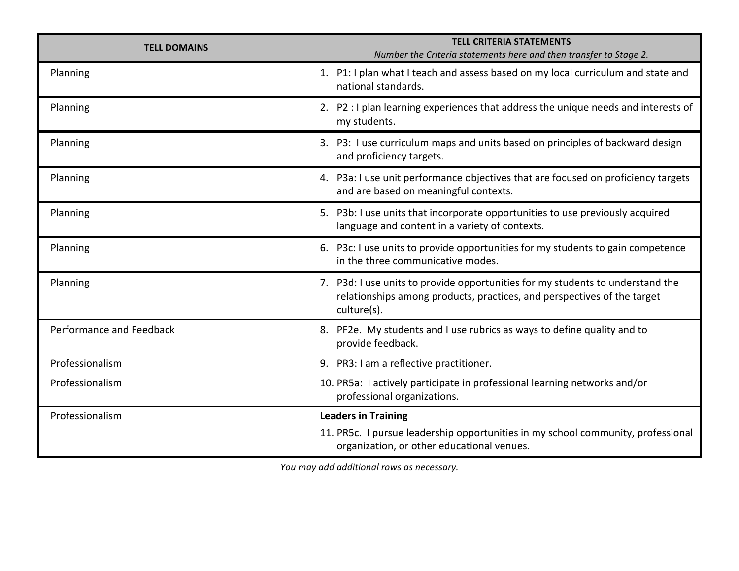| <b>TELL DOMAINS</b>      | <b>TELL CRITERIA STATEMENTS</b><br>Number the Criteria statements here and then transfer to Stage 2.                                                                     |
|--------------------------|--------------------------------------------------------------------------------------------------------------------------------------------------------------------------|
| Planning                 | 1. P1: I plan what I teach and assess based on my local curriculum and state and<br>national standards.                                                                  |
| Planning                 | 2. P2 : I plan learning experiences that address the unique needs and interests of<br>my students.                                                                       |
| Planning                 | 3. P3: I use curriculum maps and units based on principles of backward design<br>and proficiency targets.                                                                |
| Planning                 | 4. P3a: I use unit performance objectives that are focused on proficiency targets<br>and are based on meaningful contexts.                                               |
| Planning                 | 5. P3b: I use units that incorporate opportunities to use previously acquired<br>language and content in a variety of contexts.                                          |
| Planning                 | 6. P3c: I use units to provide opportunities for my students to gain competence<br>in the three communicative modes.                                                     |
| Planning                 | 7. P3d: I use units to provide opportunities for my students to understand the<br>relationships among products, practices, and perspectives of the target<br>culture(s). |
| Performance and Feedback | 8. PF2e. My students and I use rubrics as ways to define quality and to<br>provide feedback.                                                                             |
| Professionalism          | 9. PR3: I am a reflective practitioner.                                                                                                                                  |
| Professionalism          | 10. PR5a: I actively participate in professional learning networks and/or<br>professional organizations.                                                                 |
| Professionalism          | <b>Leaders in Training</b>                                                                                                                                               |
|                          | 11. PR5c. I pursue leadership opportunities in my school community, professional<br>organization, or other educational venues.                                           |

You may add additional rows as necessary.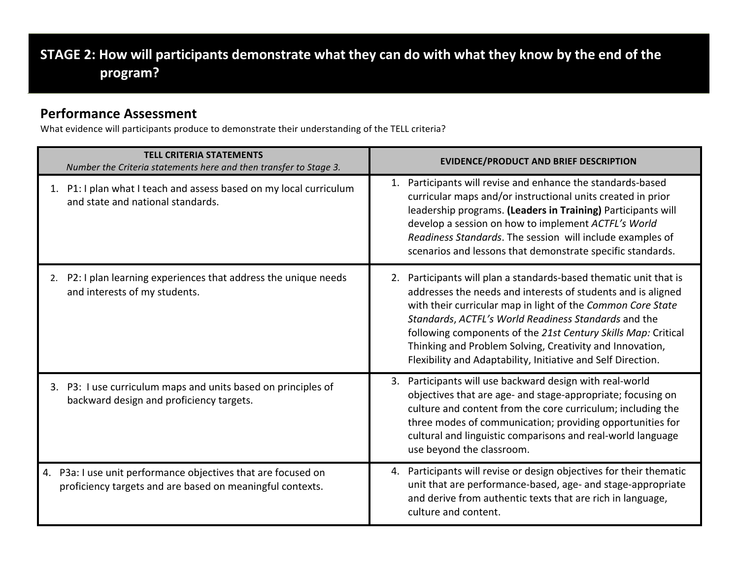# STAGE 2: How will participants demonstrate what they can do with what they know by the end of the **program?**

#### **Performance Assessment**

What evidence will participants produce to demonstrate their understanding of the TELL criteria?

| <b>TELL CRITERIA STATEMENTS</b><br>Number the Criteria statements here and then transfer to Stage 3.                          | <b>EVIDENCE/PRODUCT AND BRIEF DESCRIPTION</b>                                                                                                                                                                                                                                                                                                                                                                                                         |
|-------------------------------------------------------------------------------------------------------------------------------|-------------------------------------------------------------------------------------------------------------------------------------------------------------------------------------------------------------------------------------------------------------------------------------------------------------------------------------------------------------------------------------------------------------------------------------------------------|
| 1. P1: I plan what I teach and assess based on my local curriculum<br>and state and national standards.                       | Participants will revise and enhance the standards-based<br>1.<br>curricular maps and/or instructional units created in prior<br>leadership programs. (Leaders in Training) Participants will<br>develop a session on how to implement ACTFL's World<br>Readiness Standards. The session will include examples of<br>scenarios and lessons that demonstrate specific standards.                                                                       |
| 2. P2: I plan learning experiences that address the unique needs<br>and interests of my students.                             | 2. Participants will plan a standards-based thematic unit that is<br>addresses the needs and interests of students and is aligned<br>with their curricular map in light of the Common Core State<br>Standards, ACTFL's World Readiness Standards and the<br>following components of the 21st Century Skills Map: Critical<br>Thinking and Problem Solving, Creativity and Innovation,<br>Flexibility and Adaptability, Initiative and Self Direction. |
| 3. P3: I use curriculum maps and units based on principles of<br>backward design and proficiency targets.                     | 3. Participants will use backward design with real-world<br>objectives that are age- and stage-appropriate; focusing on<br>culture and content from the core curriculum; including the<br>three modes of communication; providing opportunities for<br>cultural and linguistic comparisons and real-world language<br>use beyond the classroom.                                                                                                       |
| P3a: I use unit performance objectives that are focused on<br>4.<br>proficiency targets and are based on meaningful contexts. | 4. Participants will revise or design objectives for their thematic<br>unit that are performance-based, age- and stage-appropriate<br>and derive from authentic texts that are rich in language,<br>culture and content.                                                                                                                                                                                                                              |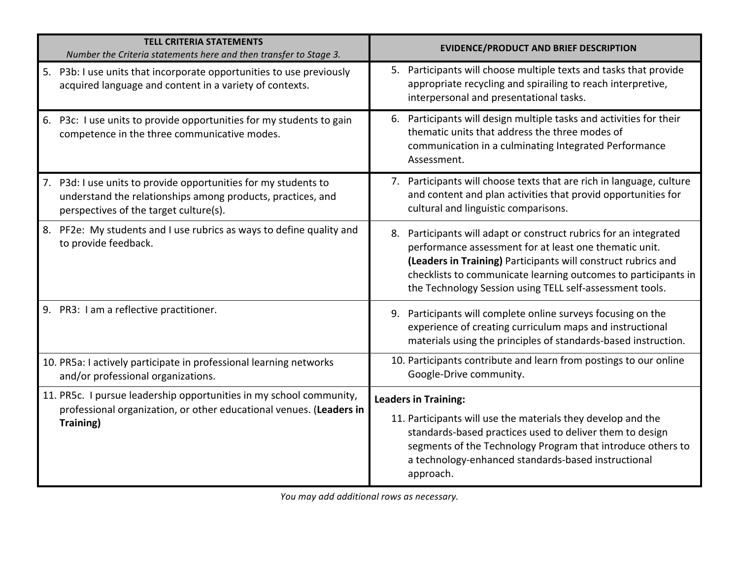| <b>TELL CRITERIA STATEMENTS</b><br>Number the Criteria statements here and then transfer to Stage 3.                                                                     | <b>EVIDENCE/PRODUCT AND BRIEF DESCRIPTION</b>                                                                                                                                                                                                                                                                              |
|--------------------------------------------------------------------------------------------------------------------------------------------------------------------------|----------------------------------------------------------------------------------------------------------------------------------------------------------------------------------------------------------------------------------------------------------------------------------------------------------------------------|
| 5. P3b: I use units that incorporate opportunities to use previously<br>acquired language and content in a variety of contexts.                                          | 5. Participants will choose multiple texts and tasks that provide<br>appropriate recycling and spirailing to reach interpretive,<br>interpersonal and presentational tasks.                                                                                                                                                |
| 6. P3c: I use units to provide opportunities for my students to gain<br>competence in the three communicative modes.                                                     | 6. Participants will design multiple tasks and activities for their<br>thematic units that address the three modes of<br>communication in a culminating Integrated Performance<br>Assessment.                                                                                                                              |
| 7. P3d: I use units to provide opportunities for my students to<br>understand the relationships among products, practices, and<br>perspectives of the target culture(s). | 7. Participants will choose texts that are rich in language, culture<br>and content and plan activities that provid opportunities for<br>cultural and linguistic comparisons.                                                                                                                                              |
| 8. PF2e: My students and I use rubrics as ways to define quality and<br>to provide feedback.                                                                             | 8. Participants will adapt or construct rubrics for an integrated<br>performance assessment for at least one thematic unit.<br>(Leaders in Training) Participants will construct rubrics and<br>checklists to communicate learning outcomes to participants in<br>the Technology Session using TELL self-assessment tools. |
| 9. PR3: I am a reflective practitioner.                                                                                                                                  | 9. Participants will complete online surveys focusing on the<br>experience of creating curriculum maps and instructional<br>materials using the principles of standards-based instruction.                                                                                                                                 |
| 10. PR5a: I actively participate in professional learning networks<br>and/or professional organizations.                                                                 | 10. Participants contribute and learn from postings to our online<br>Google-Drive community.                                                                                                                                                                                                                               |
| 11. PR5c. I pursue leadership opportunities in my school community,<br>professional organization, or other educational venues. (Leaders in<br>Training)                  | <b>Leaders in Training:</b><br>11. Participants will use the materials they develop and the<br>standards-based practices used to deliver them to design<br>segments of the Technology Program that introduce others to<br>a technology-enhanced standards-based instructional<br>approach.                                 |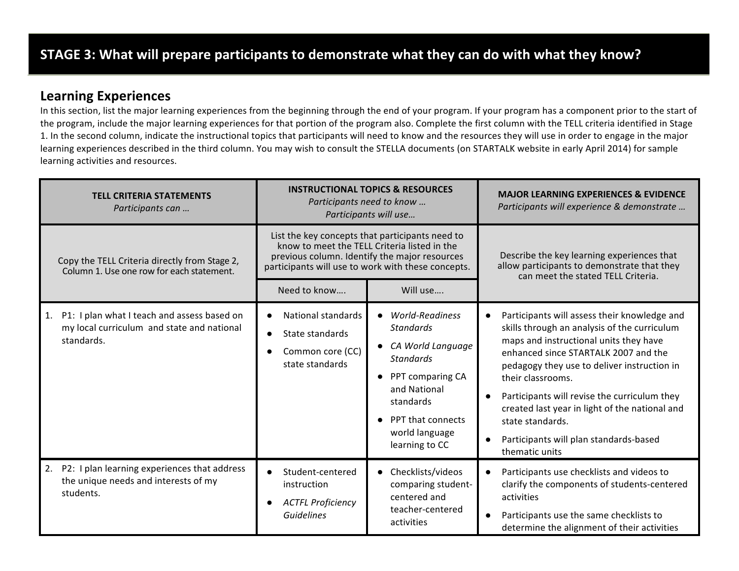#### **Learning Experiences**

In this section, list the major learning experiences from the beginning through the end of your program. If your program has a component prior to the start of the program, include the major learning experiences for that portion of the program also. Complete the first column with the TELL criteria identified in Stage 1. In the second column, indicate the instructional topics that participants will need to know and the resources they will use in order to engage in the major learning experiences described in the third column. You may wish to consult the STELLA documents (on STARTALK website in early April 2014) for sample learning activities and resources.

| <b>TELL CRITERIA STATEMENTS</b><br>Participants can                                                           | Participants need to know                                                                                                                                                                                                          | <b>INSTRUCTIONAL TOPICS &amp; RESOURCES</b><br>Participants will use                                                                                                                          | <b>MAJOR LEARNING EXPERIENCES &amp; EVIDENCE</b><br>Participants will experience & demonstrate                                                                                                                                                                                                                                                                                                                                       |
|---------------------------------------------------------------------------------------------------------------|------------------------------------------------------------------------------------------------------------------------------------------------------------------------------------------------------------------------------------|-----------------------------------------------------------------------------------------------------------------------------------------------------------------------------------------------|--------------------------------------------------------------------------------------------------------------------------------------------------------------------------------------------------------------------------------------------------------------------------------------------------------------------------------------------------------------------------------------------------------------------------------------|
| Copy the TELL Criteria directly from Stage 2,<br>Column 1. Use one row for each statement.                    | List the key concepts that participants need to<br>know to meet the TELL Criteria listed in the<br>previous column. Identify the major resources<br>participants will use to work with these concepts.<br>Need to know<br>Will use |                                                                                                                                                                                               | Describe the key learning experiences that<br>allow participants to demonstrate that they<br>can meet the stated TELL Criteria.                                                                                                                                                                                                                                                                                                      |
| P1: I plan what I teach and assess based on<br>1.<br>my local curriculum and state and national<br>standards. | National standards<br>State standards<br>Common core (CC)<br>state standards                                                                                                                                                       | <b>World-Readiness</b><br><b>Standards</b><br>CA World Language<br><b>Standards</b><br>PPT comparing CA<br>and National<br>standards<br>PPT that connects<br>world language<br>learning to CC | Participants will assess their knowledge and<br>skills through an analysis of the curriculum<br>maps and instructional units they have<br>enhanced since STARTALK 2007 and the<br>pedagogy they use to deliver instruction in<br>their classrooms.<br>Participants will revise the curriculum they<br>created last year in light of the national and<br>state standards.<br>Participants will plan standards-based<br>thematic units |
| P2: I plan learning experiences that address<br>2.<br>the unique needs and interests of my<br>students.       | Student-centered<br>instruction<br><b>ACTFL Proficiency</b><br><b>Guidelines</b>                                                                                                                                                   | • Checklists/videos<br>comparing student-<br>centered and<br>teacher-centered<br>activities                                                                                                   | Participants use checklists and videos to<br>clarify the components of students-centered<br>activities<br>Participants use the same checklists to<br>determine the alignment of their activities                                                                                                                                                                                                                                     |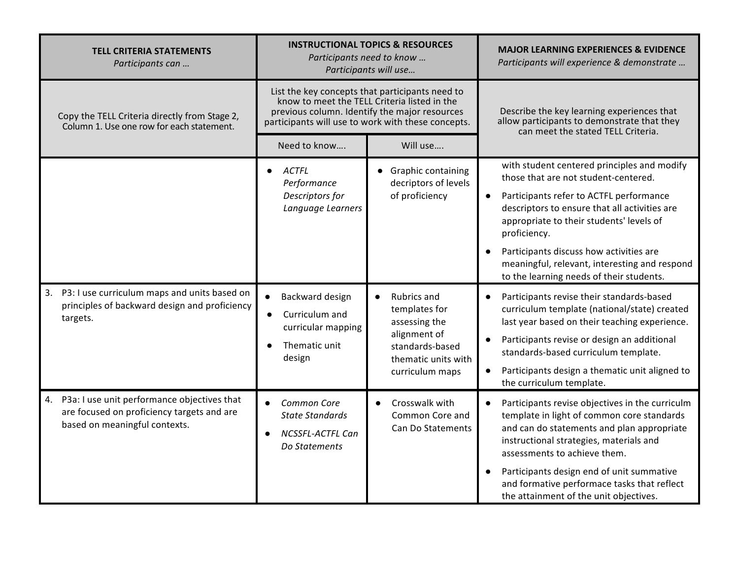| <b>TELL CRITERIA STATEMENTS</b><br>Participants can                                                                              |                                                                                                                                                                                                        | <b>INSTRUCTIONAL TOPICS &amp; RESOURCES</b><br>Participants need to know<br>Participants will use | <b>MAJOR LEARNING EXPERIENCES &amp; EVIDENCE</b><br>Participants will experience & demonstrate                                                                                                                                                                                                                                                               |
|----------------------------------------------------------------------------------------------------------------------------------|--------------------------------------------------------------------------------------------------------------------------------------------------------------------------------------------------------|---------------------------------------------------------------------------------------------------|--------------------------------------------------------------------------------------------------------------------------------------------------------------------------------------------------------------------------------------------------------------------------------------------------------------------------------------------------------------|
| Copy the TELL Criteria directly from Stage 2,<br>Column 1. Use one row for each statement.                                       | List the key concepts that participants need to<br>know to meet the TELL Criteria listed in the<br>previous column. Identify the major resources<br>participants will use to work with these concepts. |                                                                                                   | Describe the key learning experiences that<br>allow participants to demonstrate that they<br>can meet the stated TELL Criteria.                                                                                                                                                                                                                              |
|                                                                                                                                  | Need to know                                                                                                                                                                                           | Will use                                                                                          |                                                                                                                                                                                                                                                                                                                                                              |
|                                                                                                                                  | ACTFL<br>Performance                                                                                                                                                                                   | • Graphic containing<br>decriptors of levels                                                      | with student centered principles and modify<br>those that are not student-centered.                                                                                                                                                                                                                                                                          |
|                                                                                                                                  | Descriptors for<br>Language Learners                                                                                                                                                                   | of proficiency                                                                                    | Participants refer to ACTFL performance<br>descriptors to ensure that all activities are<br>appropriate to their students' levels of<br>proficiency.                                                                                                                                                                                                         |
|                                                                                                                                  |                                                                                                                                                                                                        |                                                                                                   | Participants discuss how activities are<br>meaningful, relevant, interesting and respond<br>to the learning needs of their students.                                                                                                                                                                                                                         |
| P3: I use curriculum maps and units based on<br>3.<br>principles of backward design and proficiency<br>targets.                  | Backward design<br>$\bullet$<br>Curriculum and<br>curricular mapping                                                                                                                                   | Rubrics and<br>$\bullet$<br>templates for<br>assessing the                                        | Participants revise their standards-based<br>curriculum template (national/state) created<br>last year based on their teaching experience.                                                                                                                                                                                                                   |
|                                                                                                                                  | Thematic unit<br>design                                                                                                                                                                                | alignment of<br>standards-based<br>thematic units with                                            | Participants revise or design an additional<br>standards-based curriculum template.                                                                                                                                                                                                                                                                          |
|                                                                                                                                  |                                                                                                                                                                                                        | curriculum maps                                                                                   | Participants design a thematic unit aligned to<br>the curriculum template.                                                                                                                                                                                                                                                                                   |
| P3a: I use unit performance objectives that<br>4.<br>are focused on proficiency targets and are<br>based on meaningful contexts. | Common Core<br>$\bullet$<br><b>State Standards</b><br><b>NCSSFL-ACTFL Can</b><br>Do Statements                                                                                                         | Crosswalk with<br>$\bullet$<br>Common Core and<br>Can Do Statements                               | Participants revise objectives in the curriculm<br>template in light of common core standards<br>and can do statements and plan appropriate<br>instructional strategies, materials and<br>assessments to achieve them.<br>Participants design end of unit summative<br>and formative performace tasks that reflect<br>the attainment of the unit objectives. |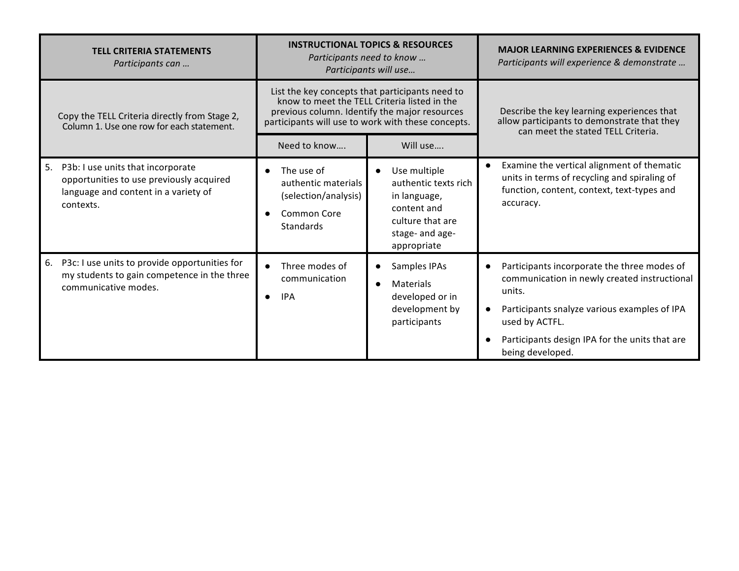| <b>TELL CRITERIA STATEMENTS</b><br>Participants can |                                                                                                                                    | <b>INSTRUCTIONAL TOPICS &amp; RESOURCES</b><br>Participants need to know<br>Participants will use                                                                                                      |                                                                                                                                        | <b>MAJOR LEARNING EXPERIENCES &amp; EVIDENCE</b><br>Participants will experience & demonstrate                                                                                                                                                |  |
|-----------------------------------------------------|------------------------------------------------------------------------------------------------------------------------------------|--------------------------------------------------------------------------------------------------------------------------------------------------------------------------------------------------------|----------------------------------------------------------------------------------------------------------------------------------------|-----------------------------------------------------------------------------------------------------------------------------------------------------------------------------------------------------------------------------------------------|--|
|                                                     | Copy the TELL Criteria directly from Stage 2,<br>Column 1. Use one row for each statement.                                         | List the key concepts that participants need to<br>know to meet the TELL Criteria listed in the<br>previous column. Identify the major resources<br>participants will use to work with these concepts. |                                                                                                                                        | Describe the key learning experiences that<br>allow participants to demonstrate that they<br>can meet the stated TELL Criteria.                                                                                                               |  |
|                                                     |                                                                                                                                    | Need to know                                                                                                                                                                                           | Will use                                                                                                                               |                                                                                                                                                                                                                                               |  |
| 5.                                                  | P3b: I use units that incorporate<br>opportunities to use previously acquired<br>language and content in a variety of<br>contexts. | The use of<br>authentic materials<br>(selection/analysis)<br>Common Core<br>Standards                                                                                                                  | Use multiple<br>$\bullet$<br>authentic texts rich<br>in language,<br>content and<br>culture that are<br>stage- and age-<br>appropriate | Examine the vertical alignment of thematic<br>units in terms of recycling and spiraling of<br>function, content, context, text-types and<br>accuracy.                                                                                         |  |
| 6.                                                  | P3c: I use units to provide opportunities for<br>my students to gain competence in the three<br>communicative modes.               | Three modes of<br>communication<br><b>IPA</b>                                                                                                                                                          | Samples IPAs<br>$\bullet$<br>Materials<br>developed or in<br>development by<br>participants                                            | Participants incorporate the three modes of<br>communication in newly created instructional<br>units.<br>Participants snalyze various examples of IPA<br>used by ACTFL.<br>Participants design IPA for the units that are<br>being developed. |  |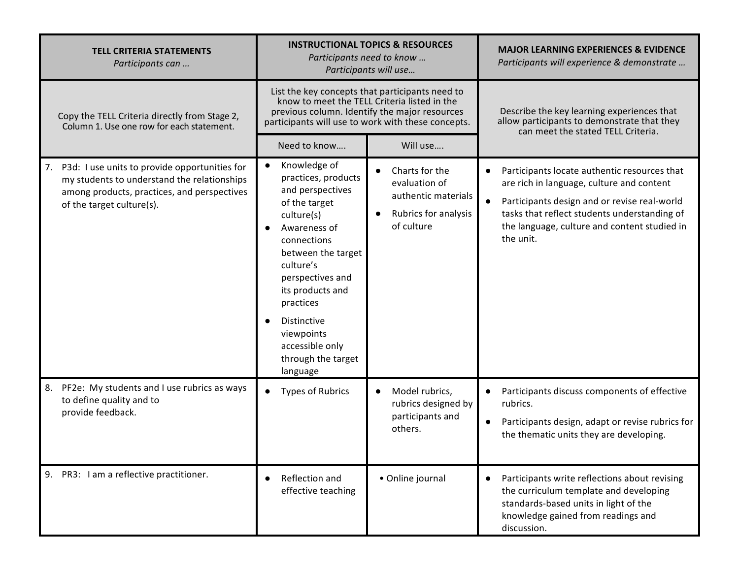| <b>TELL CRITERIA STATEMENTS</b><br>Participants can                                                                                                                            | <b>INSTRUCTIONAL TOPICS &amp; RESOURCES</b><br>Participants need to know<br>Participants will use                                                                                                                                                                                               |                                                                                                           | <b>MAJOR LEARNING EXPERIENCES &amp; EVIDENCE</b><br>Participants will experience & demonstrate                                                                                                                                                         |  |
|--------------------------------------------------------------------------------------------------------------------------------------------------------------------------------|-------------------------------------------------------------------------------------------------------------------------------------------------------------------------------------------------------------------------------------------------------------------------------------------------|-----------------------------------------------------------------------------------------------------------|--------------------------------------------------------------------------------------------------------------------------------------------------------------------------------------------------------------------------------------------------------|--|
| Copy the TELL Criteria directly from Stage 2,<br>Column 1. Use one row for each statement.                                                                                     | List the key concepts that participants need to<br>know to meet the TELL Criteria listed in the<br>previous column. Identify the major resources<br>participants will use to work with these concepts.                                                                                          |                                                                                                           | Describe the key learning experiences that<br>allow participants to demonstrate that they<br>can meet the stated TELL Criteria.                                                                                                                        |  |
|                                                                                                                                                                                | Need to know                                                                                                                                                                                                                                                                                    | Will use                                                                                                  |                                                                                                                                                                                                                                                        |  |
| P3d: I use units to provide opportunities for<br>7.<br>my students to understand the relationships<br>among products, practices, and perspectives<br>of the target culture(s). | Knowledge of<br>practices, products<br>and perspectives<br>of the target<br>culture(s)<br>Awareness of<br>connections<br>between the target<br>culture's<br>perspectives and<br>its products and<br>practices<br>Distinctive<br>viewpoints<br>accessible only<br>through the target<br>language | Charts for the<br>evaluation of<br>authentic materials<br>Rubrics for analysis<br>$\bullet$<br>of culture | Participants locate authentic resources that<br>are rich in language, culture and content<br>Participants design and or revise real-world<br>tasks that reflect students understanding of<br>the language, culture and content studied in<br>the unit. |  |
| PF2e: My students and I use rubrics as ways<br>8.<br>to define quality and to<br>provide feedback.                                                                             | <b>Types of Rubrics</b>                                                                                                                                                                                                                                                                         | Model rubrics,<br>$\bullet$<br>rubrics designed by<br>participants and<br>others.                         | Participants discuss components of effective<br>rubrics.<br>Participants design, adapt or revise rubrics for<br>the thematic units they are developing.                                                                                                |  |
| 9. PR3: I am a reflective practitioner.                                                                                                                                        | Reflection and<br>effective teaching                                                                                                                                                                                                                                                            | • Online journal                                                                                          | Participants write reflections about revising<br>the curriculum template and developing<br>standards-based units in light of the<br>knowledge gained from readings and<br>discussion.                                                                  |  |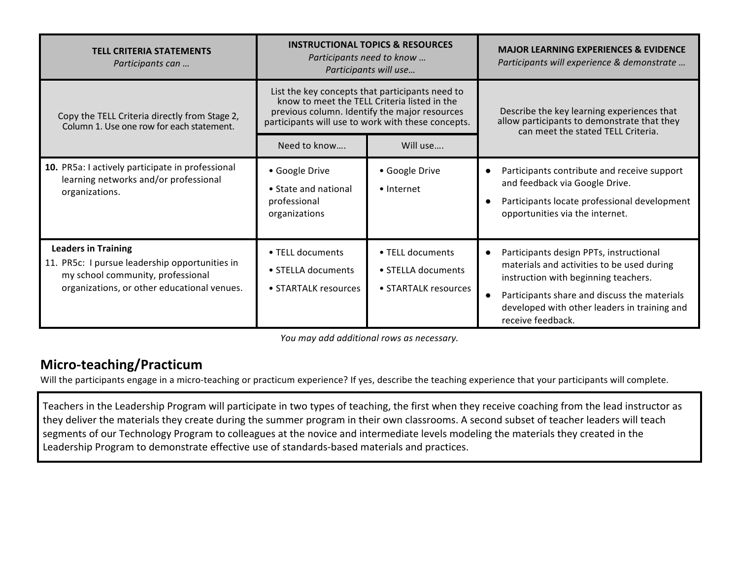| <b>TELL CRITERIA STATEMENTS</b><br>Participants can                                                                                                              | <b>INSTRUCTIONAL TOPICS &amp; RESOURCES</b><br>Participants need to know<br>Participants will use                                                                                                      |                                                                | <b>MAJOR LEARNING EXPERIENCES &amp; EVIDENCE</b><br>Participants will experience & demonstrate                                                                                                                                                     |  |
|------------------------------------------------------------------------------------------------------------------------------------------------------------------|--------------------------------------------------------------------------------------------------------------------------------------------------------------------------------------------------------|----------------------------------------------------------------|----------------------------------------------------------------------------------------------------------------------------------------------------------------------------------------------------------------------------------------------------|--|
| Copy the TELL Criteria directly from Stage 2,<br>Column 1. Use one row for each statement.                                                                       | List the key concepts that participants need to<br>know to meet the TELL Criteria listed in the<br>previous column. Identify the major resources<br>participants will use to work with these concepts. |                                                                | Describe the key learning experiences that<br>allow participants to demonstrate that they<br>can meet the stated TELL Criteria.                                                                                                                    |  |
|                                                                                                                                                                  | Need to know                                                                                                                                                                                           | Will use                                                       |                                                                                                                                                                                                                                                    |  |
| 10. PR5a: I actively participate in professional<br>learning networks and/or professional<br>organizations.                                                      | · Google Drive<br>• State and national<br>professional<br>organizations                                                                                                                                | · Google Drive<br>• Internet                                   | Participants contribute and receive support<br>and feedback via Google Drive.<br>Participants locate professional development<br>opportunities via the internet.                                                                                   |  |
| <b>Leaders in Training</b><br>11. PR5c: I pursue leadership opportunities in<br>my school community, professional<br>organizations, or other educational venues. | • TELL documents<br>• STELLA documents<br>• STARTALK resources                                                                                                                                         | • TELL documents<br>• STELLA documents<br>• STARTALK resources | Participants design PPTs, instructional<br>materials and activities to be used during<br>instruction with beginning teachers.<br>Participants share and discuss the materials<br>developed with other leaders in training and<br>receive feedback. |  |

You may add additional rows as necessary.

## **Micro-teaching/Practicum**

Will the participants engage in a micro-teaching or practicum experience? If yes, describe the teaching experience that your participants will complete.

Teachers in the Leadership Program will participate in two types of teaching, the first when they receive coaching from the lead instructor as they deliver the materials they create during the summer program in their own classrooms. A second subset of teacher leaders will teach segments of our Technology Program to colleagues at the novice and intermediate levels modeling the materials they created in the Leadership Program to demonstrate effective use of standards-based materials and practices.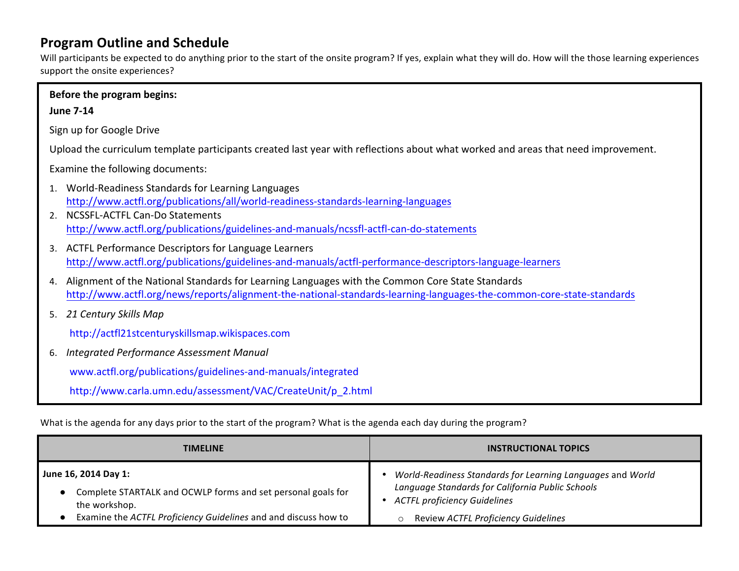# **Program Outline and Schedule**

Will participants be expected to do anything prior to the start of the onsite program? If yes, explain what they will do. How will the those learning experiences support the onsite experiences?

|    | Before the program begins:                                                                                                                                                                                                                                             |  |  |  |  |
|----|------------------------------------------------------------------------------------------------------------------------------------------------------------------------------------------------------------------------------------------------------------------------|--|--|--|--|
|    | <b>June 7-14</b>                                                                                                                                                                                                                                                       |  |  |  |  |
|    | Sign up for Google Drive                                                                                                                                                                                                                                               |  |  |  |  |
|    | Upload the curriculum template participants created last year with reflections about what worked and areas that need improvement.                                                                                                                                      |  |  |  |  |
|    | Examine the following documents:                                                                                                                                                                                                                                       |  |  |  |  |
| 1. | World-Readiness Standards for Learning Languages<br>http://www.actfl.org/publications/all/world-readiness-standards-learning-languages<br>2. NCSSFL-ACTFL Can-Do Statements<br>http://www.actfl.org/publications/guidelines-and-manuals/ncssfl-actfl-can-do-statements |  |  |  |  |
|    | 3. ACTFL Performance Descriptors for Language Learners<br>http://www.actfl.org/publications/guidelines-and-manuals/actfl-performance-descriptors-language-learners                                                                                                     |  |  |  |  |
| 4. | Alignment of the National Standards for Learning Languages with the Common Core State Standards<br>http://www.actfl.org/news/reports/alignment-the-national-standards-learning-languages-the-common-core-state-standards                                               |  |  |  |  |
|    | 5. 21 Century Skills Map                                                                                                                                                                                                                                               |  |  |  |  |
|    | http://actfl21stcenturyskillsmap.wikispaces.com                                                                                                                                                                                                                        |  |  |  |  |
| 6. | Integrated Performance Assessment Manual                                                                                                                                                                                                                               |  |  |  |  |
|    | www.actfl.org/publications/guidelines-and-manuals/integrated                                                                                                                                                                                                           |  |  |  |  |
|    | http://www.carla.umn.edu/assessment/VAC/CreateUnit/p 2.html                                                                                                                                                                                                            |  |  |  |  |

What is the agenda for any days prior to the start of the program? What is the agenda each day during the program?

| <b>TIMELINE</b>                                                 | <b>INSTRUCTIONAL TOPICS</b>                                |  |  |
|-----------------------------------------------------------------|------------------------------------------------------------|--|--|
| June 16, 2014 Day 1:                                            | World-Readiness Standards for Learning Languages and World |  |  |
| Complete STARTALK and OCWLP forms and set personal goals for    | Language Standards for California Public Schools           |  |  |
| the workshop.                                                   | <b>ACTFL proficiency Guidelines</b>                        |  |  |
| Examine the ACTFL Proficiency Guidelines and and discuss how to | Review ACTFL Proficiency Guidelines                        |  |  |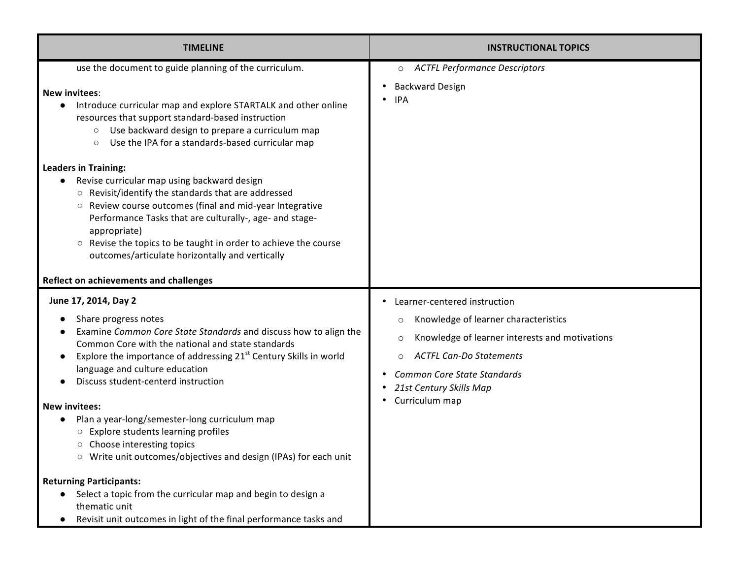| <b>TIMELINE</b>                                                                                                                                                                                                                                                                                                                                                                                                                                                                                                                                                                                                                                                                                                                                                                  | <b>INSTRUCTIONAL TOPICS</b>                                                                                                                                                                                                                                       |
|----------------------------------------------------------------------------------------------------------------------------------------------------------------------------------------------------------------------------------------------------------------------------------------------------------------------------------------------------------------------------------------------------------------------------------------------------------------------------------------------------------------------------------------------------------------------------------------------------------------------------------------------------------------------------------------------------------------------------------------------------------------------------------|-------------------------------------------------------------------------------------------------------------------------------------------------------------------------------------------------------------------------------------------------------------------|
| use the document to guide planning of the curriculum.<br><b>New invitees:</b><br>Introduce curricular map and explore STARTALK and other online<br>resources that support standard-based instruction<br>Use backward design to prepare a curriculum map<br>$\circlearrowright$<br>Use the IPA for a standards-based curricular map<br>$\circ$<br><b>Leaders in Training:</b><br>Revise curricular map using backward design<br>Revisit/identify the standards that are addressed<br>$\circlearrowright$<br>Review course outcomes (final and mid-year Integrative<br>О<br>Performance Tasks that are culturally-, age- and stage-<br>appropriate)<br>Revise the topics to be taught in order to achieve the course<br>$\circ$<br>outcomes/articulate horizontally and vertically | O ACTFL Performance Descriptors<br><b>Backward Design</b><br><b>IPA</b>                                                                                                                                                                                           |
| Reflect on achievements and challenges<br>June 17, 2014, Day 2<br>Share progress notes<br>Examine Common Core State Standards and discuss how to align the<br>Common Core with the national and state standards<br>Explore the importance of addressing 21 <sup>st</sup> Century Skills in world<br>language and culture education<br>Discuss student-centerd instruction<br><b>New invitees:</b><br>Plan a year-long/semester-long curriculum map<br>Explore students learning profiles<br>$\circ$<br>Choose interesting topics<br>$\circ$<br>○ Write unit outcomes/objectives and design (IPAs) for each unit<br><b>Returning Participants:</b><br>Select a topic from the curricular map and begin to design a<br>thematic unit                                               | Learner-centered instruction<br>Knowledge of learner characteristics<br>$\circ$<br>Knowledge of learner interests and motivations<br>$\circ$<br><b>ACTFL Can-Do Statements</b><br><b>Common Core State Standards</b><br>21st Century Skills Map<br>Curriculum map |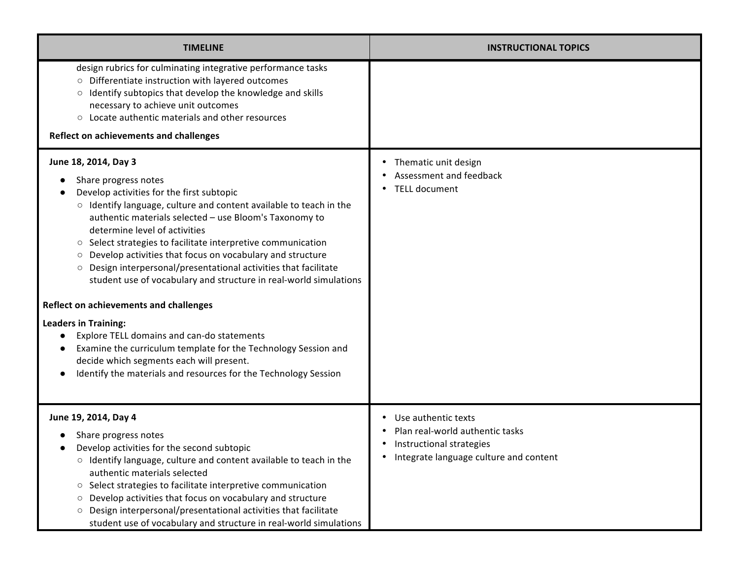| <b>TIMELINE</b>                                                                                                                                                                                                                                                                                                                                                                                                                                                                                                                                                                                                                                                                             | <b>INSTRUCTIONAL TOPICS</b>                                                                                                  |
|---------------------------------------------------------------------------------------------------------------------------------------------------------------------------------------------------------------------------------------------------------------------------------------------------------------------------------------------------------------------------------------------------------------------------------------------------------------------------------------------------------------------------------------------------------------------------------------------------------------------------------------------------------------------------------------------|------------------------------------------------------------------------------------------------------------------------------|
| design rubrics for culminating integrative performance tasks<br>O Differentiate instruction with layered outcomes<br>Identify subtopics that develop the knowledge and skills<br>$\circlearrowright$<br>necessary to achieve unit outcomes<br>Locate authentic materials and other resources<br>$\circlearrowright$<br>Reflect on achievements and challenges                                                                                                                                                                                                                                                                                                                               |                                                                                                                              |
| June 18, 2014, Day 3<br>Share progress notes<br>Develop activities for the first subtopic<br>o Identify language, culture and content available to teach in the<br>authentic materials selected - use Bloom's Taxonomy to<br>determine level of activities<br>Select strategies to facilitate interpretive communication<br>$\circ$<br>Develop activities that focus on vocabulary and structure<br>$\circ$<br>Design interpersonal/presentational activities that facilitate<br>$\circ$<br>student use of vocabulary and structure in real-world simulations<br><b>Reflect on achievements and challenges</b><br><b>Leaders in Training:</b><br>Explore TELL domains and can-do statements | • Thematic unit design<br>Assessment and feedback<br><b>TELL document</b>                                                    |
| Examine the curriculum template for the Technology Session and<br>decide which segments each will present.<br>Identify the materials and resources for the Technology Session                                                                                                                                                                                                                                                                                                                                                                                                                                                                                                               |                                                                                                                              |
| June 19, 2014, Day 4<br>Share progress notes<br>Develop activities for the second subtopic<br>o Identify language, culture and content available to teach in the<br>authentic materials selected<br>Select strategies to facilitate interpretive communication<br>$\circ$<br>Develop activities that focus on vocabulary and structure<br>$\circ$<br>Design interpersonal/presentational activities that facilitate<br>$\circ$<br>student use of vocabulary and structure in real-world simulations                                                                                                                                                                                         | Use authentic texts<br>Plan real-world authentic tasks<br>Instructional strategies<br>Integrate language culture and content |